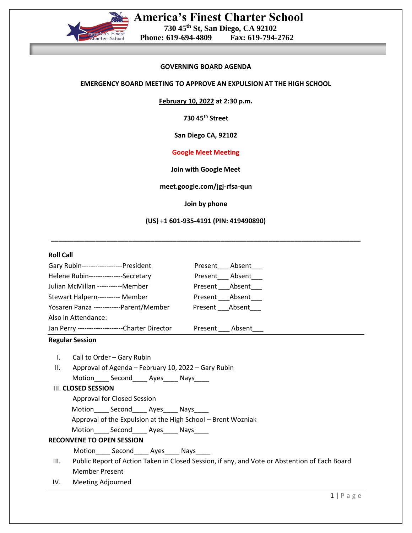

# **GOVERNING BOARD AGENDA**

### **EMERGENCY BOARD MEETING TO APPROVE AN EXPULSION AT THE HIGH SCHOOL**

**February 10, 2022 at 2:30 p.m.**

**730 45th Street**

**San Diego CA, 92102**

## **Google Meet Meeting**

**Join with Google Meet**

**meet.google.com/jgj-rfsa-qun**

**Join by phone**

## **(US) +1 601-935-4191 (PIN: 419490890)**

**\_\_\_\_\_\_\_\_\_\_\_\_\_\_\_\_\_\_\_\_\_\_\_\_\_\_\_\_\_\_\_\_\_\_\_\_\_\_\_\_\_\_\_\_\_\_\_\_\_\_\_\_\_\_\_\_\_\_\_\_\_\_\_\_\_\_\_\_\_\_\_\_\_\_\_\_\_\_\_\_\_\_\_\_**

### **Roll Call**

| Gary Rubin------------------President<br>Present Absent                                               |
|-------------------------------------------------------------------------------------------------------|
| Helene Rubin---------------Secretary<br>Present Absent                                                |
| Julian McMillan -----------Member<br>Present Absent                                                   |
| Stewart Halpern---------- Member<br>Present Absent                                                    |
| Present Absent<br>Yosaren Panza ------------Parent/Member                                             |
| Also in Attendance:                                                                                   |
| Jan Perry --------------------Charter Director<br>Present ____ Absent____                             |
| <b>Regular Session</b>                                                                                |
| Call to Order - Gary Rubin<br>$\mathbf{L}$                                                            |
| Approval of Agenda - February 10, 2022 - Gary Rubin<br>Ш.                                             |
| Motion______ Second______ Ayes______ Nays_____                                                        |
| III. CLOSED SESSION                                                                                   |
| Approval for Closed Session                                                                           |
| Motion______ Second______ Ayes______ Nays_____                                                        |
| Approval of the Expulsion at the High School - Brent Wozniak                                          |
| Motion______ Second______ Ayes______ Nays_____                                                        |
| <b>RECONVENE TO OPEN SESSION</b>                                                                      |
| Motion______ Second______ Ayes______ Nays_____                                                        |
| Public Report of Action Taken in Closed Session, if any, and Vote or Abstention of Each Board<br>III. |
| <b>Member Present</b>                                                                                 |
| <b>Meeting Adjourned</b><br>IV.                                                                       |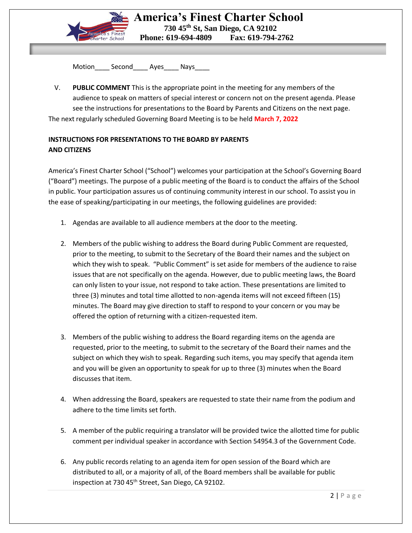

Motion Second Ayes Nays

V. **PUBLIC COMMENT** This is the appropriate point in the meeting for any members of the audience to speak on matters of special interest or concern not on the present agenda. Please see the instructions for presentations to the Board by Parents and Citizens on the next page. The next regularly scheduled Governing Board Meeting is to be held **March 7, 2022**

# **INSTRUCTIONS FOR PRESENTATIONS TO THE BOARD BY PARENTS AND CITIZENS**

America's Finest Charter School ("School") welcomes your participation at the School's Governing Board ("Board") meetings. The purpose of a public meeting of the Board is to conduct the affairs of the School in public. Your participation assures us of continuing community interest in our school. To assist you in the ease of speaking/participating in our meetings, the following guidelines are provided:

- 1. Agendas are available to all audience members at the door to the meeting.
- 2. Members of the public wishing to address the Board during Public Comment are requested, prior to the meeting, to submit to the Secretary of the Board their names and the subject on which they wish to speak. "Public Comment" is set aside for members of the audience to raise issues that are not specifically on the agenda. However, due to public meeting laws, the Board can only listen to your issue, not respond to take action. These presentations are limited to three (3) minutes and total time allotted to non-agenda items will not exceed fifteen (15) minutes. The Board may give direction to staff to respond to your concern or you may be offered the option of returning with a citizen-requested item.
- 3. Members of the public wishing to address the Board regarding items on the agenda are requested, prior to the meeting, to submit to the secretary of the Board their names and the subject on which they wish to speak. Regarding such items, you may specify that agenda item and you will be given an opportunity to speak for up to three (3) minutes when the Board discusses that item.
- 4. When addressing the Board, speakers are requested to state their name from the podium and adhere to the time limits set forth.
- 5. A member of the public requiring a translator will be provided twice the allotted time for public comment per individual speaker in accordance with Section 54954.3 of the Government Code.
- 6. Any public records relating to an agenda item for open session of the Board which are distributed to all, or a majority of all, of the Board members shall be available for public inspection at 730 45<sup>th</sup> Street, San Diego, CA 92102.